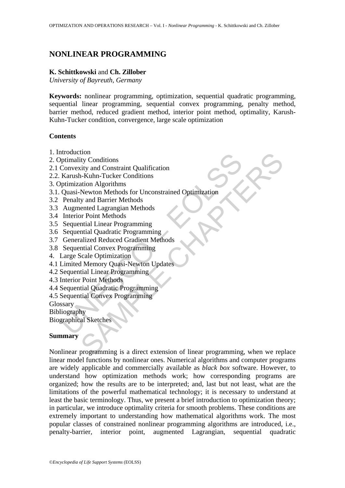# **NONLINEAR PROGRAMMING**

# **K. Schittkowski** and **Ch. Zillober**

*University of Bayreuth, Germany* 

**Keywords:** nonlinear programming, optimization, sequential quadratic programming, sequential linear programming, sequential convex programming, penalty method, barrier method, reduced gradient method, interior point method, optimality, Karush-Kuhn-Tucker condition, convergence, large scale optimization

# **Contents**

- 1. Introduction
- 2. Optimality Conditions
- 2.1 Convexity and Constraint Qualification
- 2.2. Karush-Kuhn-Tucker Conditions
- 3. Optimization Algorithms
- Induction<br>
phimality Conditions<br>
Convexity and Constraint Qualification<br>
Karush-Kuhn-Tucker Conditions<br>
Rarush-Kuhn-Tucker Conditions<br>
Penalty and Barrier Methods<br>
Penalty and Barrier Methods<br>
Augmented Lagrangian Methods<br> 3.1. Quasi-Newton Methods for Unconstrained Optimization
- 3.2 Penalty and Barrier Methods
- 3.3 Augmented Lagrangian Methods
- 3.4 Interior Point Methods
- 3.5 Sequential Linear Programming
- 3.6 Sequential Quadratic Programming
- 3.7 Generalized Reduced Gradient Methods
- 3.8 Sequential Convex Programming
- 4. Large Scale Optimization
- 4.1 Limited Memory Quasi-Newton Updates
- 4.2 Sequential Linear Programming
- 4.3 Interior Point Methods
- 4.4 Sequential Quadratic Programming
- 4.5 Sequential Convex Programming

Glossary

Bibliography

Biographical Sketches

### **Summary**

tiny<br>
ity Conditions<br>
ity conditions<br>
ation Algorithms<br>
ation Advantance Conditions<br>
Newton Methods<br>
Newton Methods<br>
Newton Methods<br>
y and Barrier Methods<br>
y and Barrier Methods<br>
y and Barrier Methods<br>
artial Cincer Progra Nonlinear programming is a direct extension of linear programming, when we replace linear model functions by nonlinear ones. Numerical algorithms and computer programs are widely applicable and commercially available as *black box* software. However, to understand how optimization methods work; how corresponding programs are organized; how the results are to be interpreted; and, last but not least, what are the limitations of the powerful mathematical technology; it is necessary to understand at least the basic terminology. Thus, we present a brief introduction to optimization theory; in particular, we introduce optimality criteria for smooth problems. These conditions are extremely important to understanding how mathematical algorithms work. The most popular classes of constrained nonlinear programming algorithms are introduced, i.e., penalty-barrier, interior point, augmented Lagrangian, sequential quadratic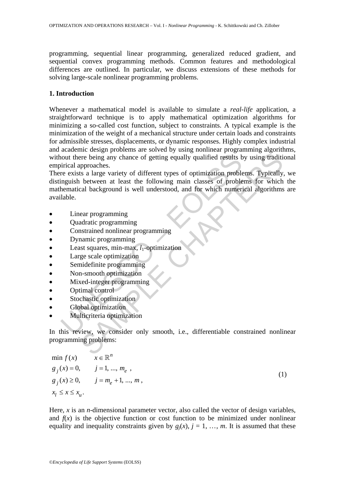programming, sequential linear programming, generalized reduced gradient, and sequential convex programming methods. Common features and methodological differences are outlined. In particular, we discuss extensions of these methods for solving large-scale nonlinear programming problems.

# **1. Introduction**

Whenever a mathematical model is available to simulate a *real*-*life* application, a straightforward technique is to apply mathematical optimization algorithms for minimizing a so-called cost function, subject to constraints. A typical example is the minimization of the weight of a mechanical structure under certain loads and constraints for admissible stresses, displacements, or dynamic responses. Highly complex industrial and academic design problems are solved by using nonlinear programming algorithms, without there being any chance of getting equally qualified results by using traditional empirical approaches.

not there being any chance of getting equally qualified results birical approaches.<br>
incident approaches.<br>
The exists a large variety of different types of optimization problementical background is well understood, and for The being any chance of getting equally qualified results by using tradition<br>procaches.<br>The being any chance of getting equally qualified results by using tradition<br>procaches.<br>between at least the following main classes of There exists a large variety of different types of optimization problems. Typically, we distinguish between at least the following main classes of problems for which the mathematical background is well understood, and for which numerical algorithms are available.

- Linear programming
- Quadratic programming
- Constrained nonlinear programming
- Dynamic programming
- Least squares, min-max,  $l_1$ -optimization
- Large scale optimization
- Semidefinite programming
- Non-smooth optimization
- Mixed-integer programming
- Optimal control
- Stochastic optimization
- Global optimization
- Multicriteria optimization

In this review, we consider only smooth, i.e., differentiable constrained nonlinear programming problems:

$$
\min f(x) \qquad x \in \mathbb{R}^{n}
$$
  
\n $g_j(x) = 0, \qquad j = 1, ..., m_e,$   
\n $g_j(x) \ge 0, \qquad j = m_e + 1, ..., m,$   
\n $x_l \le x \le x_u.$  (1)

Here, *x* is an *n*-dimensional parameter vector, also called the vector of design variables, and  $f(x)$  is the objective function or cost function to be minimized under nonlinear equality and inequality constraints given by  $g_i(x)$ ,  $j = 1, ..., m$ . It is assumed that these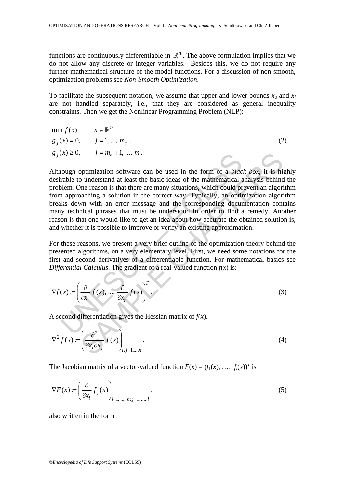functions are continuously differentiable in  $\mathbb{R}^n$ . The above formulation implies that we do not allow any discrete or integer variables. Besides this, we do not require any further mathematical structure of the model functions. For a discussion of non-smooth, optimization problems see *Non-Smooth Optimization*.

To facilitate the subsequent notation, we assume that upper and lower bounds  $x_u$  and  $x_l$ are not handled separately, i.e., that they are considered as general inequality constraints. Then we get the Nonlinear Programming Problem (NLP):

$$
\min f(x) \qquad x \in \mathbb{R}^{n}
$$
  
\n $g_j(x) = 0, \qquad j = 1, ..., m_e,$   
\n $g_j(x) \ge 0, \qquad j = m_e + 1, ..., m.$  (2)

(x)  $\geq$  0,  $J = m_e + 1, ..., m$ .<br>
(x)  $\geq$  0,  $J = m_e + 1, ..., m$ .<br>
(a)  $J = m_e + 1, ..., m$ .<br>
(a)  $J$  a)  $J$  a)  $J$  and there are many situations, which could propose<br>
(a) allowing a solution in the correct way. Typically, an opting a papro  $J = m_e + 1, ..., m$ .<br>
Splimization software can be used in the form of a *black box*, it is his<br>
so understand at least the basic ideas of the mathematical analysis behind<br>
the reason is that there are many situations, which cou Although optimization software can be used in the form of a *black box*, it is highly desirable to understand at least the basic ideas of the mathematical analysis behind the problem. One reason is that there are many situations, which could prevent an algorithm from approaching a solution in the correct way. Typically, an optimization algorithm breaks down with an error message and the corresponding documentation contains many technical phrases that must be understood in order to find a remedy. Another reason is that one would like to get an idea about how accurate the obtained solution is, and whether it is possible to improve or verify an existing approximation.

For these reasons, we present a very brief outline of the optimization theory behind the presented algorithms, on a very elementary level. First, we need some notations for the first and second derivatives of a differentiable function. For mathematical basics see *Differential Calculus*. The gradient of a real-valued function  $f(x)$  is:

$$
\nabla f(x) := \left(\frac{\partial}{\partial x_1} f(x), \dots, \frac{\partial}{\partial x_n} f(x)\right)^T.
$$
 (3)

A second differentiation gives the Hessian matrix of  $f(x)$ .

$$
\nabla^2 f(x) := \left(\frac{\partial^2}{\partial x_i \partial x_j} f(x)\right)_{i,j=1,\dots,n}.
$$
\n(4)

The Jacobian matrix of a vector-valued function  $F(x) = (f_1(x), \ldots, f_l(x))^T$  is

$$
\nabla F(x) := \left(\frac{\partial}{\partial x_i} f_j(x)\right)_{i=1,\dots,\,n;\,j=1,\,\dots,\,l},\tag{5}
$$

also written in the form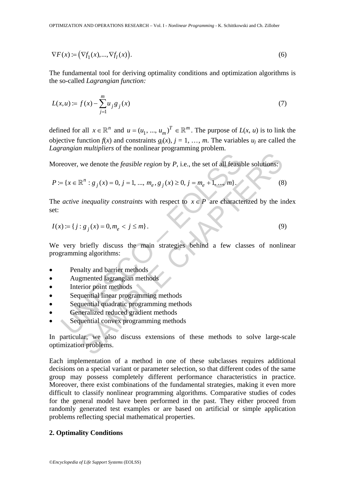$$
\nabla F(x) := \left(\nabla f_1(x), \dots, \nabla f_l(x)\right). \tag{6}
$$

The fundamental tool for deriving optimality conditions and optimization algorithms is the so-called *Lagrangian function:* 

$$
L(x, u) := f(x) - \sum_{j=1}^{m} u_j g_j(x)
$$
 (7)

defined for all  $x \in \mathbb{R}^n$  and  $u = (u_1, ..., u_m)^T \in \mathbb{R}^m$ . The purpose of  $L(x, u)$  is to link the objective function  $f(x)$  and constraints  $g_j(x)$ ,  $j = 1, ..., m$ . The variables  $u_j$  are called the *Lagrangian multipliers* of the nonlinear programming problem.

Moreover, we denote the *feasible region* by *P*, i.e., the set of all feasible solutions:

$$
P := \{x \in \mathbb{R}^n : g_j(x) = 0, j = 1, ..., m_e, g_j(x) \ge 0, j = m_e + 1, ..., m\}.
$$
 (8)

The *active inequality constraints* with respect to  $x \in P$  are characterized by the index set:

$$
I(x) := \{ j : g_j(x) = 0, m_e < j \le m \}.
$$
 (9)

reover, we denote the *feasible region* by *P*, i.e., the set of all feasible = { $x \in \mathbb{R}^n : g_j(x) = 0, j = 1, ..., m_e, g_j(x) \ge 0, j = m_e + 1, ..., m$ }.<br>
active inequality constraints with respect to  $x \in P$  are characterive inequality const we denote the *feasible region* by *P*, i.e., the set of all feasible solutions:<br>  $\mathbb{R}^n : g_j(x) = 0, j = 1, ..., m_e, g_j(x) \ge 0, j = m_e + 1, ..., m$ .<br>
(8)<br> *inequality constraints* with respect to  $x \in P$  are characterized by the ir<br>  $g_j(x) =$ We very briefly discuss the main strategies behind a few classes of nonlinear programming algorithms:

- Penalty and barrier methods
- Augmented lagrangian methods
- Interior point methods
- Sequential linear programming methods
- Sequential quadratic programming methods
- Generalized reduced gradient methods
- Sequential convex programming methods

In particular, we also discuss extensions of these methods to solve large-scale optimization problems.

Each implementation of a method in one of these subclasses requires additional decisions on a special variant or parameter selection, so that different codes of the same group may possess completely different performance characteristics in practice. Moreover, there exist combinations of the fundamental strategies, making it even more difficult to classify nonlinear programming algorithms. Comparative studies of codes for the general model have been performed in the past. They either proceed from randomly generated test examples or are based on artificial or simple application problems reflecting special mathematical properties.

#### **2. Optimality Conditions**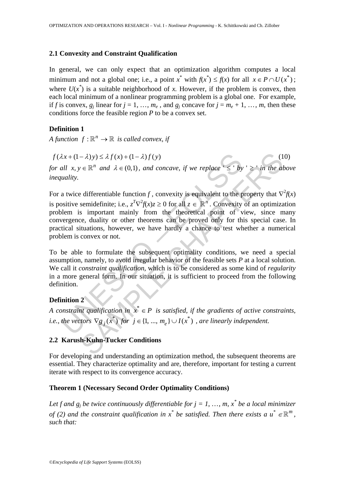#### **2.1 Convexity and Constraint Qualification**

In general, we can only expect that an optimization algorithm computes a local minimum and not a global one; i.e., a point  $x^*$  with  $f(x^*) \le f(x)$  for all  $x \in P \cap U(x^*)$ ; where  $U(x^*)$  is a suitable neighborhood of *x*. However, if the problem is convex, then each local minimum of a nonlinear programming problem is a global one. For example, if *f* is convex,  $g_i$  linear for  $j = 1, ..., m_e$ , and  $g_i$  concave for  $j = m_e + 1, ..., m$ , then these conditions force the feasible region *P* to be a convex set.

### **Definition 1**

*A function*  $f : \mathbb{R}^n \to \mathbb{R}$  *is called convex, if* 

 $f(\lambda x + (1 - \lambda)y) \leq \lambda f(x) + (1 - \lambda)f(y)$  (10)

*for all*  $x, y \in \mathbb{R}^n$  *and*  $\lambda \in (0,1)$ *, and concave, if we replace* ' ≤ '*by ' ≥ ' in the above inequality.* 

 $\lambda x + (1 - \lambda)y \leq \lambda f(x) + (1 - \lambda)f(y)$ <br>
all  $x, y \in \mathbb{R}^n$  and  $\lambda \in (0,1)$ , and concave, if we replace  $\leq y$  by<br>
unality.<br>
a twice differentiable function f, convexity is equivalent to the p<br>
solutions.<br>
a twice differentiable f  $-\lambda$ )y) ≤  $\lambda f(x)$  + (1 -  $\lambda$ ) $f(y)$  (1<br>  $\lambda \in \mathbb{R}^n$  and  $\lambda \in (0,1)$ , and concave, if we replace ' ≤ ' by ' ≥ ' in the all<br>
edifferentiable function  $f$ , convexity is equivalent to the property that  $\nabla$ <br>
semidefinit For a twice differentiable function *f*, convexity is equivalent to the property that  $\nabla^2 f(x)$ is positive semidefinite; i.e.,  $z^T \nabla^2 f(x) z \ge 0$  for all  $z \in \mathbb{R}^n$ . Convexity of an optimization problem is important mainly from the theoretical point of view, since many convergence, duality or other theorems can be proved only for this special case. In practical situations, however, we have hardly a chance to test whether a numerical problem is convex or not.

To be able to formulate the subsequent optimality conditions, we need a special assumption, namely, to avoid irregular behavior of the feasible sets *P* at a local solution. We call it *constraint qualification*, which is to be considered as some kind of *regularity*  in a more general form. In our situation, it is sufficient to proceed from the following definition.

# **Definition 2**

*A constraint qualification in*  $x^* \in P$  *is satisfied, if the gradients of active constraints, i.e., the vectors*  $\nabla g_i(x^*)$  *for*  $j \in \{1, ..., m_e\} \cup I(x^*)$ , *are linearly independent.* 

# **2.2 Karush-Kuhn-Tucker Conditions**

For developing and understanding an optimization method, the subsequent theorems are essential. They characterize optimality and are, therefore, important for testing a current iterate with respect to its convergence accuracy.

# **Theorem 1 (Necessary Second Order Optimality Conditions)**

Let f and  $g_j$  be twice continuously differentiable for  $j = 1, ..., m$ ,  $x^*$  be a local minimizer *of* (2) and the constraint qualification in  $x^*$  be satisfied. Then there exists a  $u^* \in \mathbb{R}^m$ , *such that:*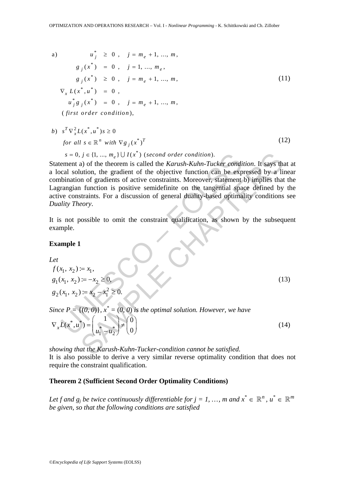a) 
$$
u_j^* \ge 0
$$
,  $j = m_e + 1, ..., m$ ,  
\n $g_j(x^*) = 0$ ,  $j = 1, ..., m_e$ ,  
\n $g_j(x^*) \ge 0$ ,  $j = m_e + 1, ..., m$ ,  
\n $\nabla_x L(x^*, u^*) = 0$ ,  
\n $u_j^* g_j(x^*) = 0$ ,  $j = m_e + 1, ..., m$ ,  
\n(first order condition), (firs to refer condition),

b) 
$$
s^T \nabla_x^2 L(x^*, u^*) s \ge 0
$$
  
for all  $s \in \mathbb{R}^n$  with  $\nabla g_j(x^*)^T$  (12)

 $s = 0, j \in \{1, ..., m_e\} \cup I(x^*)$  (second order condition).

 $s = 0, j \in \{1, ..., m_e\} \cup I(x^*)$  (second order condition).<br>
ement a) of the theorem is called the *Karush-Kuhn-Tucker condition*<br>
cent a) of the theorem is called the *Karush-Kuhn-Tucker condition*<br>
central solution, the gradien *i*  $j \in \{1, ..., m_e\} \cup I(x^*)$  (second order condition).<br>
a) of the theorem is called the *Karush-Kuhn-Tucker condition*. It says the<br>
ution, the gradient of the objective function can be expressed by a li<br>
ution, the gradient Statement a) of the theorem is called the *Karush*-*Kuhn*-*Tucker condition*. It says that at a local solution, the gradient of the objective function can be expressed by a linear combination of gradients of active constraints. Moreover, statement b) implies that the Lagrangian function is positive semidefinite on the tangential space defined by the active constraints. For a discussion of general duality-based optimality conditions see *Duality Theory*.

It is not possible to omit the constraint qualification, as shown by the subsequent example.

#### **Example 1**

*Let* 

$$
f(x_1, x_2) := x_1,
$$
  
\n
$$
g_1(x_1, x_2) := -x_2 \ge 0,
$$
  
\n
$$
g_2(x_1, x_2) := x_2 - x_1^2 \ge 0.
$$

2

(13)

Since 
$$
P = \{(0, 0)\}\
$$
,  $x^* = (0, 0)$  is the optimal solution. However, we have\n
$$
\nabla_x L(x^*, u^*) = \begin{pmatrix} 1 \\ u_1^* - u_2^* \end{pmatrix} \neq \begin{pmatrix} 0 \\ 0 \end{pmatrix}
$$
\n(14)

*showing that the Karush*-*Kuhn*-*Tucker*-*condition cannot be satisfied.*  It is also possible to derive a very similar reverse optimality condition that does not require the constraint qualification.

### **Theorem 2 (Sufficient Second Order Optimality Conditions)**

*Let f and g<sub>i</sub> be twice continuously differentiable for*  $j = 1, ..., m$  *and*  $x^* \in \mathbb{R}^n$ *,*  $u^* \in \mathbb{R}^m$ *be given, so that the following conditions are satisfied*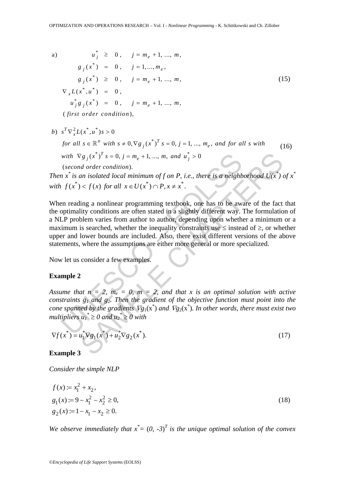a) 
$$
u_j^* \ge 0
$$
,  $j = m_e + 1, ..., m$ ,  
\n $g_j(x^*) = 0$ ,  $j = 1, ..., m_e$ ,  
\n $g_j(x^*) \ge 0$ ,  $j = m_e + 1, ..., m$ ,  
\n $\nabla_x L(x^*, u^*) = 0$ ,  
\n $u_j^* g_j(x^*) = 0$ ,  $j = m_e + 1, ..., m$ ,  
\n(first order condition), (first order condition),

 $\int s^T \nabla_x^2 L(x^*, u^*) s > 0$ all  $s \in \mathbb{R}^n$  with  $s \neq 0$ ,  $\nabla g_i(x^*)^T s = 0$ ,  $j = 1, ..., m_e$ ,  $\nabla g_i(x^*)^T s = 0, j = m_e + 1, ..., m, and u_i^* > 0$ (second order condition). *b*)  $s^I \nabla_x^2 L(x^*, u^*) s >$ *for all*  $s \in \mathbb{R}^n$  *with*  $s \neq 0$ ,  $\nabla g_j(x^*)^T s = 0$ ,  $j = 1, ..., m_e$ , and for all s with (16) *with*  $\nabla g_j(x^*)^I s = 0, j = m_e + 1, ..., m, and u_j^* >$ 

*Then*  $x^*$  is an isolated local minimum of f on P, i.e., there is a neighborhood  $U(x^*)$  of  $x^*$ *with*  $f(x^*) < f(x)$  *for all*  $x \in U(x^*) \cap P, x \neq x^*$ .

with  $\nabla g_j(x^*)^T s = 0, j = m_e + 1, ..., m, and u_j^* > 0$ <br>(second order condition).<br>  $nx^*$  is an isolated local minimum of f on P, i.e., there is a neighb<br>  $f(x^*) < f(x)$  for all  $x \in U(x^*) \cap P, x \neq x^*$ .<br>
en reading a nonlinear programming text  $\gamma_{g_j}(x^*)^T s = 0$ ,  $j = m_e + 1$ , ...,  $m$ , and  $u_j^* > 0$ <br>
an isolated local minimum of f on *P*, i.e., there is a neighborhood  $U(x^*)$ <br>  $x = \sqrt{x}$  (x) for all  $x \in U(x^*) \cap P$ ,  $x \neq x^*$ .<br>
Sing a nonlinear programming textbook, one When reading a nonlinear programming textbook, one has to be aware of the fact that the optimality conditions are often stated in a slightly different way. The formulation of a NLP problem varies from author to author, depending upon whether a minimum or a maximum is searched, whether the inequality constraints use  $\leq$  instead of  $\geq$ , or whether upper and lower bounds are included. Also, there exist different versions of the above statements, where the assumptions are either more general or more specialized.

Now let us consider a few examples.

## **Example 2**

*Assume that*  $n = 2$ *,*  $m_e = 0$ *,*  $m = 2$ *, and that x is an optimal solution with active constraints g1 and g2. Then the gradient of the objective function must point into the cone spanned by the gradients*  $\nabla g_1(x^*)$  *and*  $\nabla g_2(x^*)$ *. In other words, there must exist two multipliers*  $u_1^* \ge 0$  *and*  $u_2^* \ge 0$  *with* 

$$
\nabla f(x^*) = u_1^* \nabla g_1(x^*) + u_2^* \nabla g_2(x^*).
$$
 (17)

**Example 3** 

*Consider the simple NLP* 

$$
f(x) := x_1^2 + x_2,
$$
  
\n
$$
g_1(x) := 9 - x_1^2 - x_2^2 \ge 0,
$$
  
\n
$$
g_2(x) := 1 - x_1 - x_2 \ge 0.
$$
\n(18)

*We observe immediately that*  $x^* = (0, -3)^T$  *is the unique optimal solution of the convex*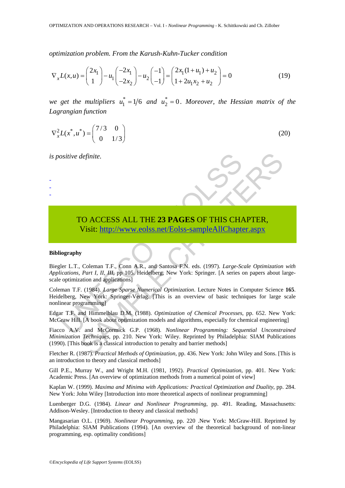*optimization problem. From the Karush*-*Kuhn*-*Tucker condition* 

$$
\nabla_x L(x, u) = \begin{pmatrix} 2x_1 \\ 1 \end{pmatrix} - u_1 \begin{pmatrix} -2x_1 \\ -2x_2 \end{pmatrix} - u_2 \begin{pmatrix} -1 \\ -1 \end{pmatrix} = \begin{pmatrix} 2x_1(1+u_1) + u_2 \\ 1+2u_1x_2 + u_2 \end{pmatrix} = 0
$$
 (19)

*we get the multipliers*  $u_1^* = 1/6$  *and*  $u_2^* = 0$ *. Moreover, the Hessian matrix of the Lagrangian function* 

$$
\nabla_x^2 L(x^*, u^*) = \begin{pmatrix} 7/3 & 0 \\ 0 & 1/3 \end{pmatrix}
$$
 (20)

*is positive definite.* 

- - -



# TO ACCESS ALL THE **23 PAGES** OF THIS CHAPTER, Visit: http://www.eolss.net/Eolss-sampleAllChapter.aspx

#### **Bibliography**

Solitive definite.<br>
TO ACCESS ALL THE 23 PAGES OF THIS CHA<br>
Visit: http://www.eolss.net/Eolss-sampleAllChapte<br>
ography<br>
ler L.T., Coleman T.F., Com A.R., and Santosa F.N. eds. (1997). Large-Sc<br>
ications, Part I, II, III, p Biegler L.T., Coleman T.F., Conn A.R., and Santosa F.N. eds. (1997). *Large*-*Scale Optimization with Applications, Part I, II, III*, pp 105. Heidelberg, New York: Springer. [A series on papers about largescale optimization and applications]

Coleman T.F. (1984). *Large Sparse Numerical Optimization*. Lecture Notes in Computer Science **165**. Heidelberg, New York: Springer-Verlag. [This is an overview of basic techniques for large scale nonlinear programming]

Edgar T.F. and Himmelblau D.M. (1988). *Optimization of Chemical Processes*, pp. 652. New York: McGraw Hill. [A book about optimization models and algorithms, especially for chemical engineering]

Fiacco A.V. and McCormick G.P. (1968). *Nonlinear Programming: Sequential Unconstrained Minimization Techniques*, pp. 210. New York: Wiley. Reprinted by Philadelphia: SIAM Publications (1990). [This book is a classical introduction to penalty and barrier methods]

Fletcher R. (1987). *Practical Methods of Optimization*, pp. 436. New York: John Wiley and Sons. [This is an introduction to theory and classical methods]

Gill P.E., Murray W., and Wright M.H. (1981, 1992). *Practical Optimization*, pp. 401. New York: Academic Press. [An overview of optimization methods from a numerical point of view]

Kaplan W. (1999). *Maxima and Minima with Applications: Practical Optimization and Duality*, pp. 284. New York: John Wiley [Introduction into more theoretical aspects of nonlinear programming]

Luenberger D.G. (1984). *Linear and Nonlinear Programming*, pp. 491. Reading, Massachusetts: Addison-Wesley. [Introduction to theory and classical methods]

Mangasarian O.L. (1969). *Nonlinear Programming*, pp. 220 .New York: McGraw-Hill. Reprinted by Philadelphia: SIAM Publications (1994). [An overview of the theoretical background of non-linear programming, esp. optimality conditions]